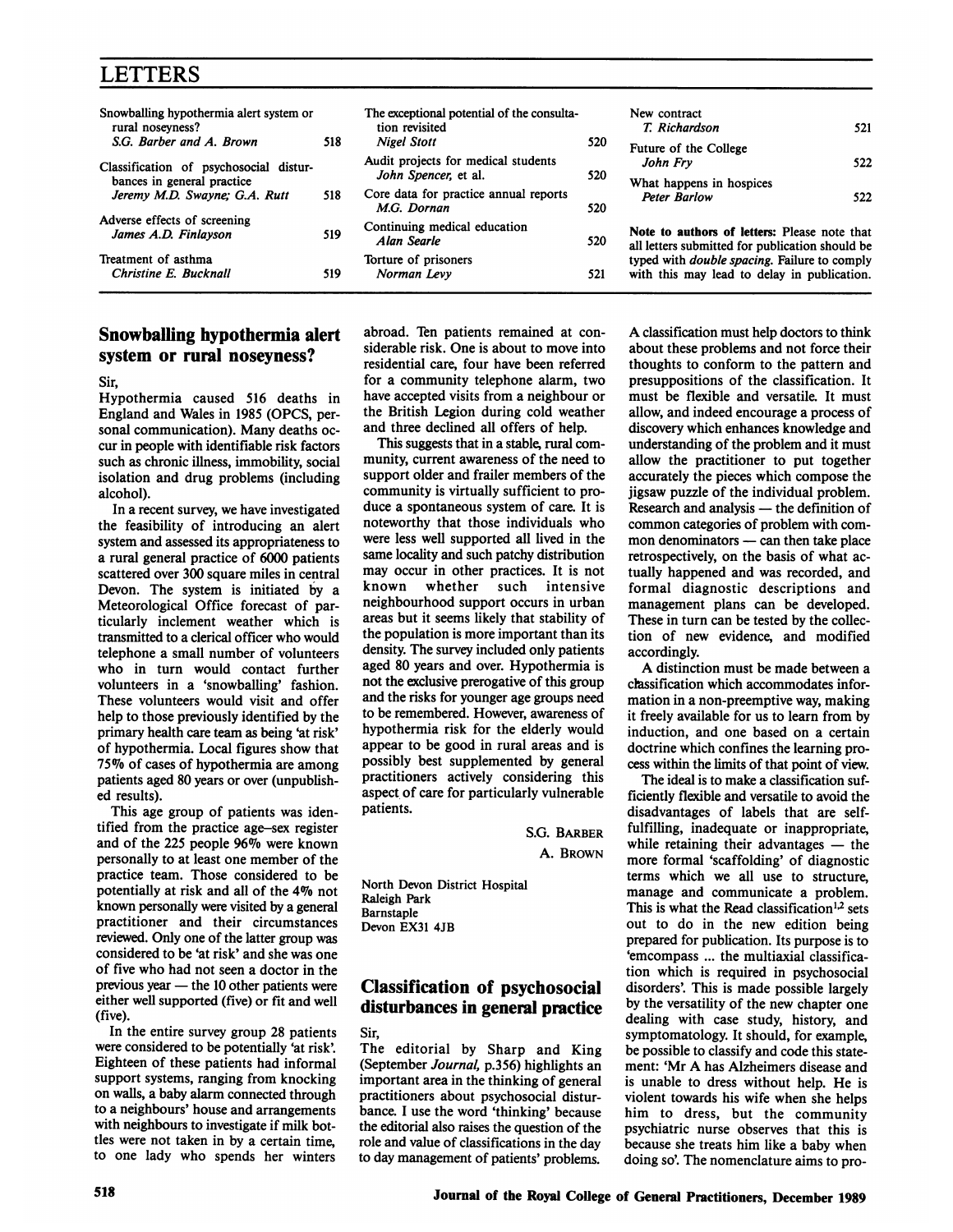# LETTERS

| Snowballing hypothermia alert system or<br>rural noseyness?          |     | The exceptional potential of the consulta-<br>tion revisited |     | New contract<br>T. Richardson                                                                       | 521 |
|----------------------------------------------------------------------|-----|--------------------------------------------------------------|-----|-----------------------------------------------------------------------------------------------------|-----|
| S.G. Barber and A. Brown                                             | 518 | <b>Nigel Stott</b>                                           | 520 | Future of the College                                                                               |     |
| Classification of psychosocial distur-<br>bances in general practice |     | Audit projects for medical students<br>John Spencer, et al.  | 520 | John Fry<br>What happens in hospices                                                                | 522 |
| Jeremy M.D. Swayne; G.A. Rutt                                        | 518 | Core data for practice annual reports<br>M.G. Dornan         | 520 | <b>Peter Barlow</b>                                                                                 | 522 |
| Adverse effects of screening<br>James A.D. Finlayson                 | 519 | Continuing medical education<br>Alan Searle                  | 520 | Note to authors of letters: Please note that<br>all letters submitted for publication should be     |     |
| Treatment of asthma<br>Christine E. Bucknall                         | 519 | Torture of prisoners<br>Norman Levy                          | 521 | typed with <i>double spacing</i> . Failure to comply<br>with this may lead to delay in publication. |     |

### Snowballing hypothermia alert system or rural noseyness?

Sir,

Hypothermia caused 516 deaths in England and Wales in 1985 (OPCS, personal communication). Many deaths occur in people with identifiable risk factors such as chronic illness, immobility, social isolation and drug problems (including alcohol).

In a recent survey, we have investigated the feasibility of introducing an alert system and assessed its appropriateness to a rural general practice of 6000 patients scattered over 300 square miles in central Devon. The system is initiated by a Meteorological Office forecast of particularly inclement weather which is transmitted to a clerical officer who would telephone a small number of volunteers who in turn would contact further volunteers in a 'snowballing' fashion. These volunteers would visit and offer help to those previously identified by the primary health care team as being 'at risk' of hypothermia. Local figures show that 75% of cases of hypothermia are among patients aged 80 years or over (unpublished results).

This age group of patients was identified from the practice age-sex register and of the 225 people 96% were known personally to at least one member of the practice team. Those considered to be potentially at risk and all of the 4% not known personally were visited by a general practitioner and their circumstances reviewed. Only one of the latter group was considered to be 'at risk' and she was one of five who had not seen a doctor in the  $previous year - the 10 other patients were$ either well supported (five) or fit and well (five).

In the entire survey group 28 patients were considered to be potentially 'at risk'. Eighteen of these patients had informal support systems, ranging from knocking on walls, a baby alarm connected through to a neighbours' house and arrangements with neighbours to investigate if milk bottles were not taken in by a certaln time, to one lady who spends her winters

abroad. Ten patients remained at considerable risk. One is about to move into residential care, four have been referred for a community telephone alarm, two have accepted visits from a neighbour or the British Legion during cold weather and three declined all offers of help.

This suggests that in a stable, rural community, current awareness of the need to support older and frailer members of the community is virtually sufficient to produce a spontaneous system of care. It is noteworthy that those individuals who were less well supported all lived in the same locality and such patchy distribution may occur in other practices. It is not known whether such intensive neighbourhood support occurs in urban areas but it seems likely that stability of the population is more important than its density. The survey included only patients aged 80 years and over. Hypothermia is not the exclusive prerogative of this group and the risks for younger age groups need to be remembered. However, awareness of hypothermia risk for the elderly would appear to be good in rural areas and is possibly best supplemented by general practitioners actively considering this aspect of care for particularly vulnerable patients.

> S.G. BARBER A. BROWN

North Devon District Hospital Raleigh Park Barnstaple Devon EX31 4JB

### Classification of psychosocial disturbances in general practice

Sir,

The editorial by Sharp and King (September Journal, p.356) highlights an important area in the thinking of general practitioners about psychosocial disturbance. <sup>I</sup> use the word 'thinking' because the editorial also raises the question of the role and value of classifications in the day to day management of patients' problems.

A classification must help doctors to think about these problems and not force their thoughts to conform to the pattern and presuppositions of the classification. It must be flexible and versatile. It must allow, and indeed encourage a process of discovery which enhances knowledge and understanding of the problem and it must allow the practitioner to put together accurately the pieces which compose the jigsaw puzzle of the individual problem. Research and analysis — the definition of common categories of problem with com $mon denominators$   $- can then take place$ retrospectively, on the basis of what actually happened and was recorded, and formal diagnostic descriptions and management plans can be developed. These in turn can be tested by the collection of new evidence, and modified accordingly.

A distinction must be made between <sup>a</sup> classification which accommodates information in a non-preemptive way, making it freely available for us to learn from by induction, and one based on a certain doctrine which confines the learning process within the limits of that point of view.

The ideal is to make a classification sufficiently flexible and versatile to avoid the disadvantages of labels that are selffulfilling, inadequate or inappropriate, while retaining their advantages  $-$  the more formal 'scaffolding' of diagnostic terms which we all use to structure, manage and communicate a problem. This is what the Read classification<sup>1,2</sup> sets out to do in the new edition being prepared for publication. Its purpose is to 'emcompass ... the multiaxial classification which is required in psychosocial disorders'. This is made possible largely by the versatility of the new chapter one dealing with case study, history, and symptomatology. It should, for example, be possible to classify and code this statement: 'Mr A has Alzheimers disease and is unable to dress without help. He is violent towards his wife when she helps him to dress, but the community psychiatric nurse observes that this is because she treats him like a baby when doing so'. The nomenclature aims to pro